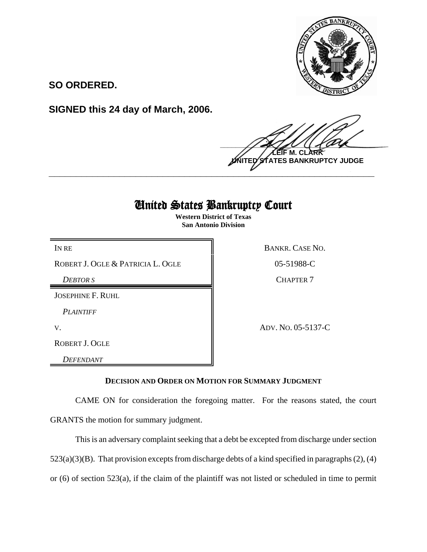

**SO ORDERED.**

**SIGNED this 24 day of March, 2006.**

 $\frac{1}{2}$ **M. NTES BANKRUPTCY JUDGE \_\_\_\_\_\_\_\_\_\_\_\_\_\_\_\_\_\_\_\_\_\_\_\_\_\_\_\_\_\_\_\_\_\_\_\_\_\_\_\_\_\_\_\_\_\_\_\_\_\_\_\_\_\_\_\_\_\_\_\_**

## United States Bankruptcy Court

**Western District of Texas San Antonio Division**

ROBERT J. OGLE & PATRICIA L. OGLE 86 05-51988-C

*DEBTOR S* CHAPTER 7

JOSEPHINE F. RUHL

*PLAINTIFF* 

ROBERT J. OGLE

*DEFENDANT* 

IN RE BANKR. CASE NO.

V. ADV. NO. 05-5137-C

**DECISION AND ORDER ON MOTION FOR SUMMARY JUDGMENT**

CAME ON for consideration the foregoing matter. For the reasons stated, the court GRANTS the motion for summary judgment.

This is an adversary complaint seeking that a debt be excepted from discharge under section

 $523(a)(3)(B)$ . That provision excepts from discharge debts of a kind specified in paragraphs  $(2)$ ,  $(4)$ 

or (6) of section 523(a), if the claim of the plaintiff was not listed or scheduled in time to permit